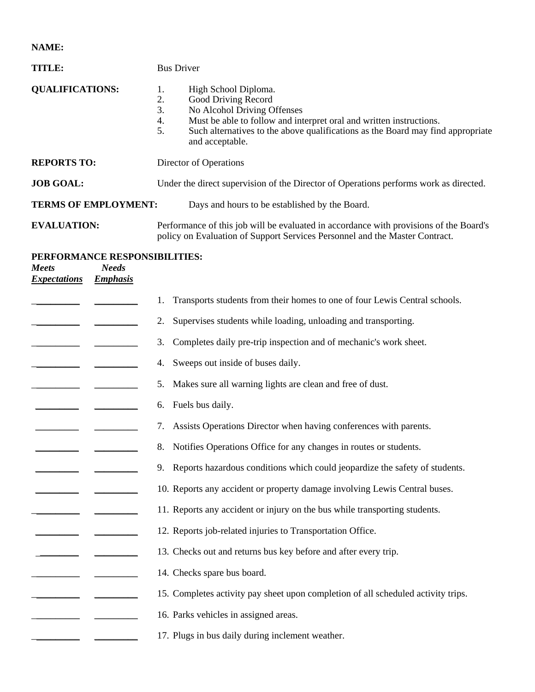**NAME:** 

| <b>TITLE:</b>                                                                                           | <b>Bus Driver</b>                                                                                                                                                                                                                                                                     |  |  |
|---------------------------------------------------------------------------------------------------------|---------------------------------------------------------------------------------------------------------------------------------------------------------------------------------------------------------------------------------------------------------------------------------------|--|--|
| <b>QUALIFICATIONS:</b>                                                                                  | High School Diploma.<br>1.<br>2.<br>Good Driving Record<br>No Alcohol Driving Offenses<br>3.<br>Must be able to follow and interpret oral and written instructions.<br>4.<br>Such alternatives to the above qualifications as the Board may find appropriate<br>5.<br>and acceptable. |  |  |
| <b>REPORTS TO:</b>                                                                                      | Director of Operations                                                                                                                                                                                                                                                                |  |  |
| <b>JOB GOAL:</b>                                                                                        | Under the direct supervision of the Director of Operations performs work as directed.                                                                                                                                                                                                 |  |  |
| <b>TERMS OF EMPLOYMENT:</b>                                                                             | Days and hours to be established by the Board.                                                                                                                                                                                                                                        |  |  |
| <b>EVALUATION:</b>                                                                                      | Performance of this job will be evaluated in accordance with provisions of the Board's<br>policy on Evaluation of Support Services Personnel and the Master Contract.                                                                                                                 |  |  |
| PERFORMANCE RESPONSIBILITIES:<br><b>Needs</b><br><b>Meets</b><br><b>Emphasis</b><br><b>Expectations</b> |                                                                                                                                                                                                                                                                                       |  |  |
|                                                                                                         | Transports students from their homes to one of four Lewis Central schools.                                                                                                                                                                                                            |  |  |
|                                                                                                         | Supervises students while loading, unloading and transporting.<br>2.                                                                                                                                                                                                                  |  |  |
|                                                                                                         | Completes daily pre-trip inspection and of mechanic's work sheet.<br>3.                                                                                                                                                                                                               |  |  |
|                                                                                                         | Sweeps out inside of buses daily.<br>4.                                                                                                                                                                                                                                               |  |  |
|                                                                                                         | Makes sure all warning lights are clean and free of dust.<br>5.                                                                                                                                                                                                                       |  |  |
|                                                                                                         | Fuels bus daily.<br>6.                                                                                                                                                                                                                                                                |  |  |
|                                                                                                         | Assists Operations Director when having conferences with parents.<br>7.                                                                                                                                                                                                               |  |  |
|                                                                                                         | Notifies Operations Office for any changes in routes or students.<br>8.                                                                                                                                                                                                               |  |  |
|                                                                                                         | 9. Reports hazardous conditions which could jeopardize the safety of students.                                                                                                                                                                                                        |  |  |
|                                                                                                         | 10. Reports any accident or property damage involving Lewis Central buses.                                                                                                                                                                                                            |  |  |
|                                                                                                         | 11. Reports any accident or injury on the bus while transporting students.                                                                                                                                                                                                            |  |  |
|                                                                                                         | 12. Reports job-related injuries to Transportation Office.                                                                                                                                                                                                                            |  |  |
|                                                                                                         | 13. Checks out and returns bus key before and after every trip.                                                                                                                                                                                                                       |  |  |
|                                                                                                         | 14. Checks spare bus board.                                                                                                                                                                                                                                                           |  |  |
|                                                                                                         | 15. Completes activity pay sheet upon completion of all scheduled activity trips.                                                                                                                                                                                                     |  |  |
|                                                                                                         | 16. Parks vehicles in assigned areas.                                                                                                                                                                                                                                                 |  |  |
|                                                                                                         | 17. Plugs in bus daily during inclement weather.                                                                                                                                                                                                                                      |  |  |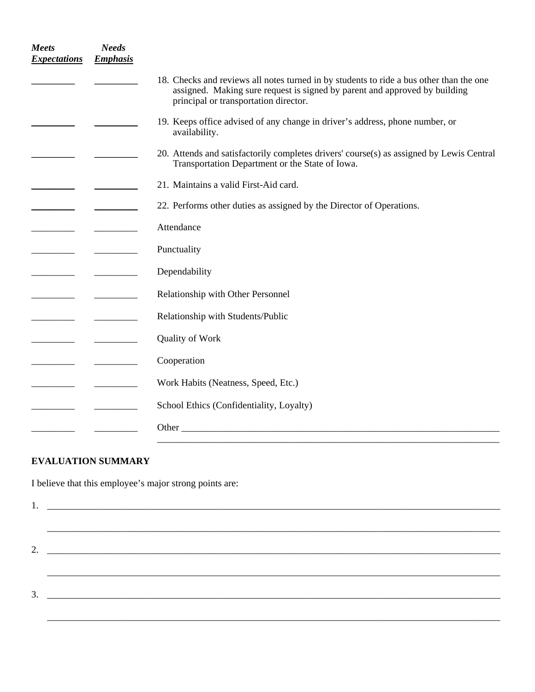| <b>Meets</b><br><b>Expectations</b> | <b>Needs</b><br><b>Emphasis</b> |                                                                                                                                                                                                                |
|-------------------------------------|---------------------------------|----------------------------------------------------------------------------------------------------------------------------------------------------------------------------------------------------------------|
|                                     |                                 | 18. Checks and reviews all notes turned in by students to ride a bus other than the one<br>assigned. Making sure request is signed by parent and approved by building<br>principal or transportation director. |
|                                     |                                 | 19. Keeps office advised of any change in driver's address, phone number, or<br>availability.                                                                                                                  |
|                                     |                                 | 20. Attends and satisfactorily completes drivers' course(s) as assigned by Lewis Central<br>Transportation Department or the State of Iowa.                                                                    |
|                                     |                                 | 21. Maintains a valid First-Aid card.                                                                                                                                                                          |
|                                     |                                 | 22. Performs other duties as assigned by the Director of Operations.                                                                                                                                           |
|                                     |                                 | Attendance                                                                                                                                                                                                     |
|                                     |                                 | Punctuality                                                                                                                                                                                                    |
|                                     |                                 | Dependability                                                                                                                                                                                                  |
|                                     |                                 | Relationship with Other Personnel                                                                                                                                                                              |
|                                     |                                 | Relationship with Students/Public                                                                                                                                                                              |
|                                     |                                 | <b>Quality of Work</b>                                                                                                                                                                                         |
|                                     |                                 | Cooperation                                                                                                                                                                                                    |
| _________                           |                                 | Work Habits (Neatness, Speed, Etc.)                                                                                                                                                                            |
|                                     |                                 | School Ethics (Confidentiality, Loyalty)                                                                                                                                                                       |
|                                     |                                 | Other                                                                                                                                                                                                          |
|                                     |                                 |                                                                                                                                                                                                                |

## **EVALUATION SUMMARY**

I believe that this employee's major strong points are: